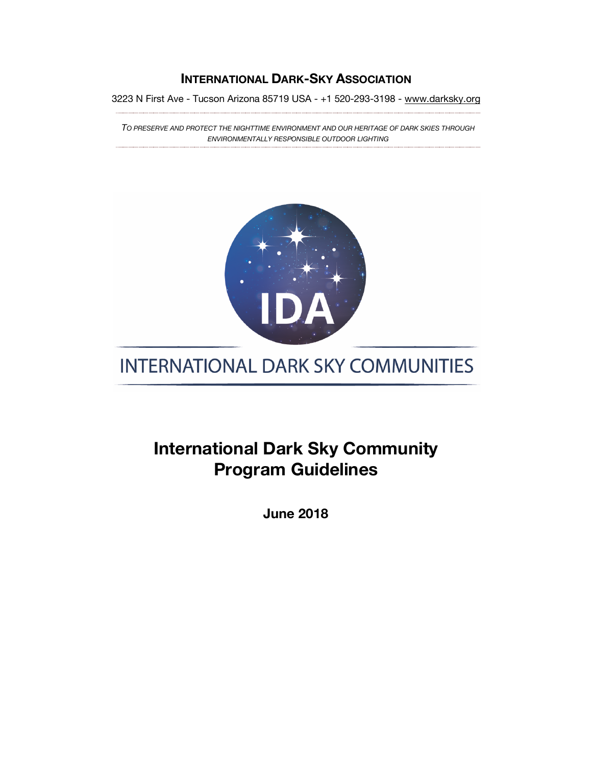#### **INTERNATIONAL DARK-SKY ASSOCIATION**

3223 N First Ave - Tucson Arizona 85719 USA - +1 520-293-3198 - www.darksky.org

*TO PRESERVE AND PROTECT THE NIGHTTIME ENVIRONMENT AND OUR HERITAGE OF DARK SKIES THROUGH ENVIRONMENTALLY RESPONSIBLE OUTDOOR LIGHTING*



# **INTERNATIONAL DARK SKY COMMUNITIES**

## **International Dark Sky Community Program Guidelines**

**June 2018**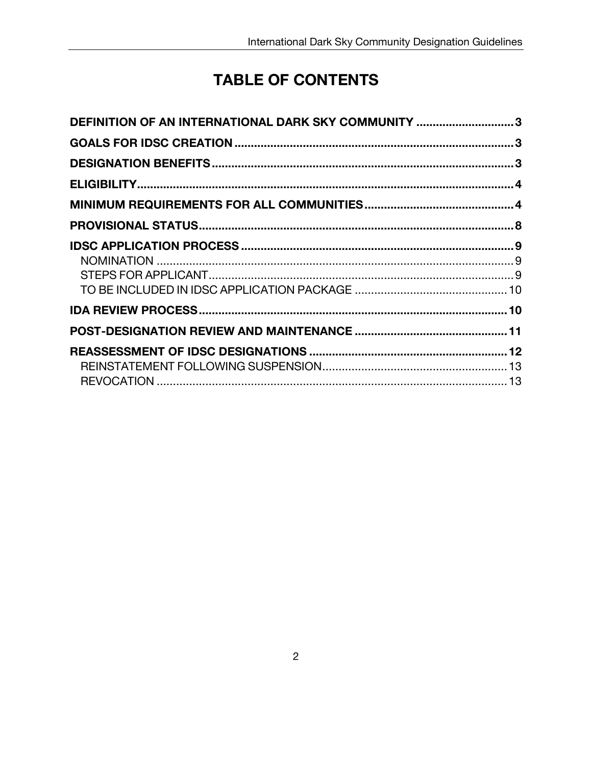# **TABLE OF CONTENTS**

| DEFINITION OF AN INTERNATIONAL DARK SKY COMMUNITY 3 |
|-----------------------------------------------------|
|                                                     |
|                                                     |
|                                                     |
|                                                     |
|                                                     |
|                                                     |
|                                                     |
|                                                     |
|                                                     |
|                                                     |
|                                                     |
|                                                     |
|                                                     |
|                                                     |
|                                                     |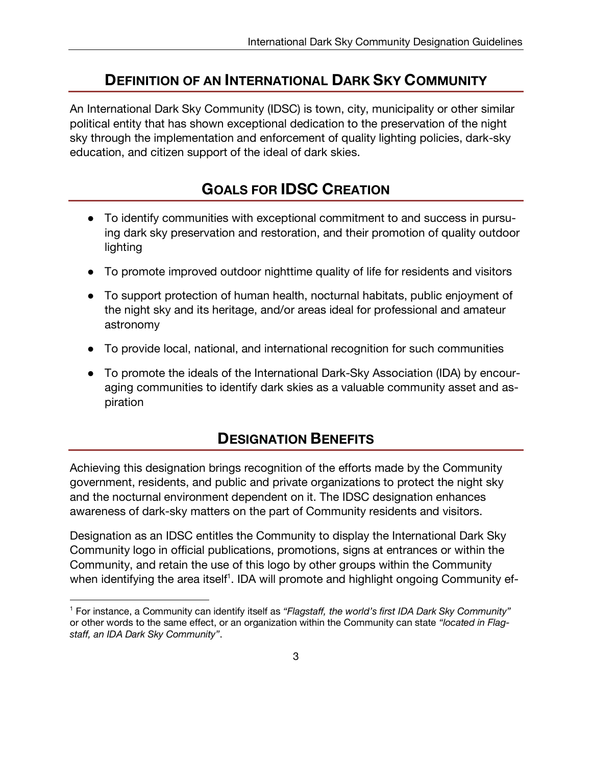#### **DEFINITION OF AN INTERNATIONAL DARK SKY COMMUNITY**

An International Dark Sky Community (IDSC) is town, city, municipality or other similar political entity that has shown exceptional dedication to the preservation of the night sky through the implementation and enforcement of quality lighting policies, dark-sky education, and citizen support of the ideal of dark skies.

## **GOALS FOR IDSC CREATION**

- To identify communities with exceptional commitment to and success in pursuing dark sky preservation and restoration, and their promotion of quality outdoor lighting
- To promote improved outdoor nighttime quality of life for residents and visitors
- To support protection of human health, nocturnal habitats, public enjoyment of the night sky and its heritage, and/or areas ideal for professional and amateur astronomy
- To provide local, national, and international recognition for such communities
- To promote the ideals of the International Dark-Sky Association (IDA) by encouraging communities to identify dark skies as a valuable community asset and aspiration

#### **DESIGNATION BENEFITS**

Achieving this designation brings recognition of the efforts made by the Community government, residents, and public and private organizations to protect the night sky and the nocturnal environment dependent on it. The IDSC designation enhances awareness of dark-sky matters on the part of Community residents and visitors.

Designation as an IDSC entitles the Community to display the International Dark Sky Community logo in official publications, promotions, signs at entrances or within the Community, and retain the use of this logo by other groups within the Community when identifying the area itself<sup>1</sup>. IDA will promote and highlight ongoing Community ef-

 $\overline{a}$ 

<sup>1</sup> For instance, a Community can identify itself as *"Flagstaff, the world's first IDA Dark Sky Community"* or other words to the same effect, or an organization within the Community can state *"located in Flagstaff, an IDA Dark Sky Community"*.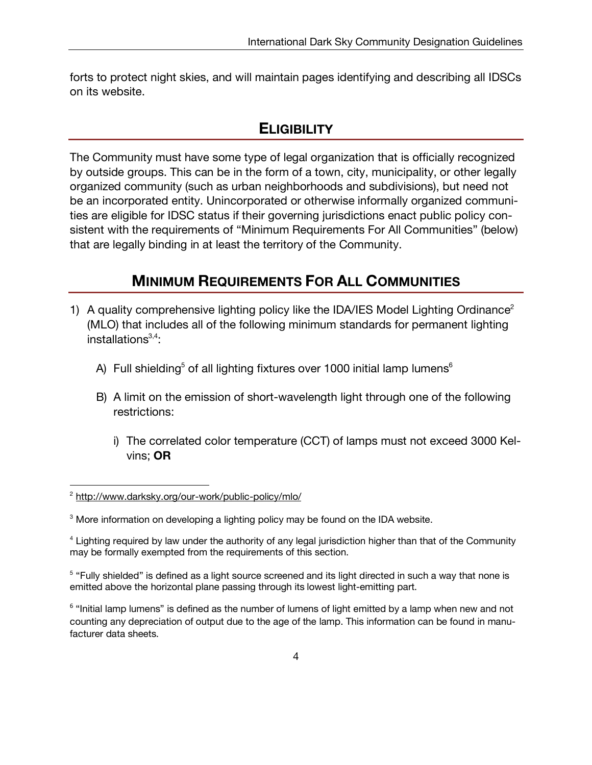forts to protect night skies, and will maintain pages identifying and describing all IDSCs on its website.

#### **ELIGIBILITY**

The Community must have some type of legal organization that is officially recognized by outside groups. This can be in the form of a town, city, municipality, or other legally organized community (such as urban neighborhoods and subdivisions), but need not be an incorporated entity. Unincorporated or otherwise informally organized communities are eligible for IDSC status if their governing jurisdictions enact public policy consistent with the requirements of "Minimum Requirements For All Communities" (below) that are legally binding in at least the territory of the Community.

## **MINIMUM REQUIREMENTS FOR ALL COMMUNITIES**

- 1) A quality comprehensive lighting policy like the IDA/IES Model Lighting Ordinance<sup>2</sup> (MLO) that includes all of the following minimum standards for permanent lighting installations<sup>3,4</sup>:
	- A) Full shielding<sup>5</sup> of all lighting fixtures over 1000 initial lamp lumens<sup>6</sup>
	- B) A limit on the emission of short-wavelength light through one of the following restrictions:
		- i) The correlated color temperature (CCT) of lamps must not exceed 3000 Kelvins; **OR**

<sup>5</sup> "Fully shielded" is defined as a light source screened and its light directed in such a way that none is emitted above the horizontal plane passing through its lowest light-emitting part.

 $\overline{a}$ <sup>2</sup> http://www.darksky.org/our-work/public-policy/mlo/

<sup>&</sup>lt;sup>3</sup> More information on developing a lighting policy may be found on the IDA website.

<sup>4</sup> Lighting required by law under the authority of any legal jurisdiction higher than that of the Community may be formally exempted from the requirements of this section.

 $6$  "Initial lamp lumens" is defined as the number of lumens of light emitted by a lamp when new and not counting any depreciation of output due to the age of the lamp. This information can be found in manufacturer data sheets.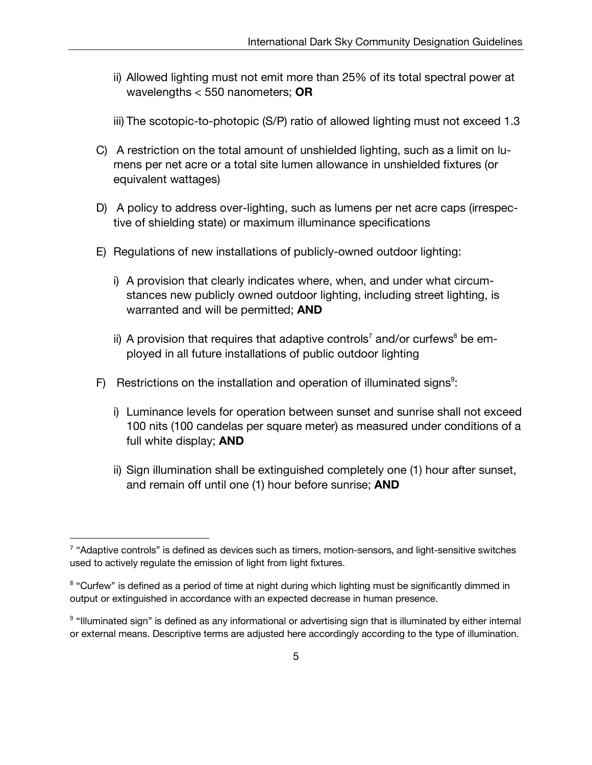- ii) Allowed lighting must not emit more than 25% of its total spectral power at wavelengths < 550 nanometers; **OR**
- iii) The scotopic-to-photopic (S/P) ratio of allowed lighting must not exceed 1.3
- C) A restriction on the total amount of unshielded lighting, such as a limit on lumens per net acre or a total site lumen allowance in unshielded fixtures (or equivalent wattages)
- D) A policy to address over-lighting, such as lumens per net acre caps (irrespective of shielding state) or maximum illuminance specifications
- E) Regulations of new installations of publicly-owned outdoor lighting:
	- i) A provision that clearly indicates where, when, and under what circumstances new publicly owned outdoor lighting, including street lighting, is warranted and will be permitted; **AND**
	- ii) A provision that requires that adaptive controls<sup>7</sup> and/or curfews<sup>8</sup> be employed in all future installations of public outdoor lighting
- F) Restrictions on the installation and operation of illuminated signs<sup>9</sup>:
	- i) Luminance levels for operation between sunset and sunrise shall not exceed 100 nits (100 candelas per square meter) as measured under conditions of a full white display; **AND**
	- ii) Sign illumination shall be extinguished completely one (1) hour after sunset, and remain off until one (1) hour before sunrise; **AND**

 $7$  "Adaptive controls" is defined as devices such as timers, motion-sensors, and light-sensitive switches used to actively regulate the emission of light from light fixtures.

<sup>&</sup>lt;sup>8</sup> "Curfew" is defined as a period of time at night during which lighting must be significantly dimmed in output or extinguished in accordance with an expected decrease in human presence.

<sup>&</sup>lt;sup>9</sup> "Illuminated sign" is defined as any informational or advertising sign that is illuminated by either internal or external means. Descriptive terms are adjusted here accordingly according to the type of illumination.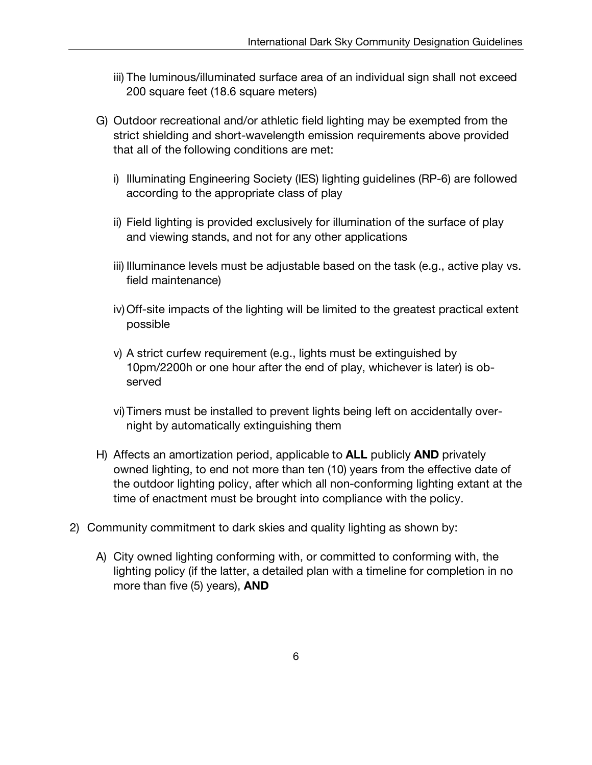- iii) The luminous/illuminated surface area of an individual sign shall not exceed 200 square feet (18.6 square meters)
- G) Outdoor recreational and/or athletic field lighting may be exempted from the strict shielding and short-wavelength emission requirements above provided that all of the following conditions are met:
	- i) Illuminating Engineering Society (IES) lighting guidelines (RP-6) are followed according to the appropriate class of play
	- ii) Field lighting is provided exclusively for illumination of the surface of play and viewing stands, and not for any other applications
	- iii) Illuminance levels must be adjustable based on the task (e.g., active play vs. field maintenance)
	- iv)Off-site impacts of the lighting will be limited to the greatest practical extent possible
	- v) A strict curfew requirement (e.g., lights must be extinguished by 10pm/2200h or one hour after the end of play, whichever is later) is observed
	- vi)Timers must be installed to prevent lights being left on accidentally overnight by automatically extinguishing them
- H) Affects an amortization period, applicable to **ALL** publicly **AND** privately owned lighting, to end not more than ten (10) years from the effective date of the outdoor lighting policy, after which all non-conforming lighting extant at the time of enactment must be brought into compliance with the policy.
- 2) Community commitment to dark skies and quality lighting as shown by:
	- A) City owned lighting conforming with, or committed to conforming with, the lighting policy (if the latter, a detailed plan with a timeline for completion in no more than five (5) years), **AND**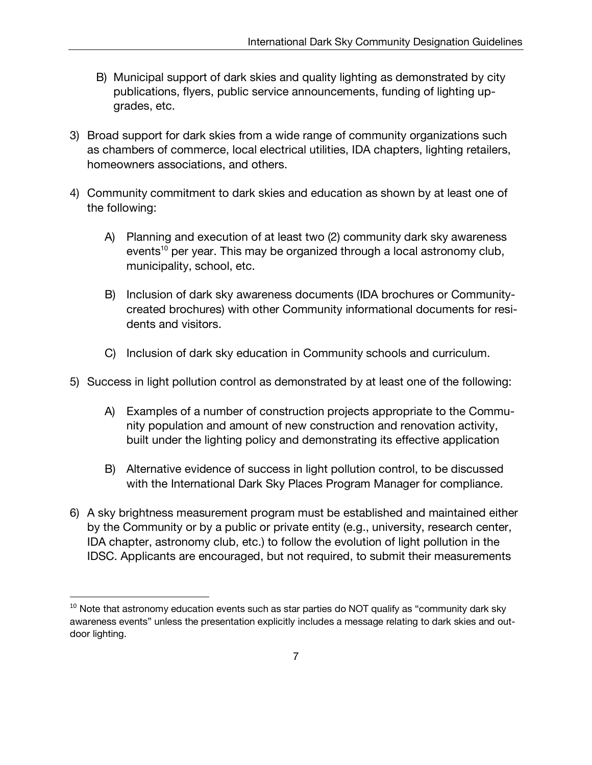- B) Municipal support of dark skies and quality lighting as demonstrated by city publications, flyers, public service announcements, funding of lighting upgrades, etc.
- 3) Broad support for dark skies from a wide range of community organizations such as chambers of commerce, local electrical utilities, IDA chapters, lighting retailers, homeowners associations, and others.
- 4) Community commitment to dark skies and education as shown by at least one of the following:
	- A) Planning and execution of at least two (2) community dark sky awareness events<sup>10</sup> per year. This may be organized through a local astronomy club, municipality, school, etc.
	- B) Inclusion of dark sky awareness documents (IDA brochures or Communitycreated brochures) with other Community informational documents for residents and visitors.
	- C) Inclusion of dark sky education in Community schools and curriculum.
- 5) Success in light pollution control as demonstrated by at least one of the following:
	- A) Examples of a number of construction projects appropriate to the Community population and amount of new construction and renovation activity, built under the lighting policy and demonstrating its effective application
	- B) Alternative evidence of success in light pollution control, to be discussed with the International Dark Sky Places Program Manager for compliance.
- 6) A sky brightness measurement program must be established and maintained either by the Community or by a public or private entity (e.g., university, research center, IDA chapter, astronomy club, etc.) to follow the evolution of light pollution in the IDSC. Applicants are encouraged, but not required, to submit their measurements

 $10$  Note that astronomy education events such as star parties do NOT qualify as "community dark sky awareness events" unless the presentation explicitly includes a message relating to dark skies and outdoor lighting.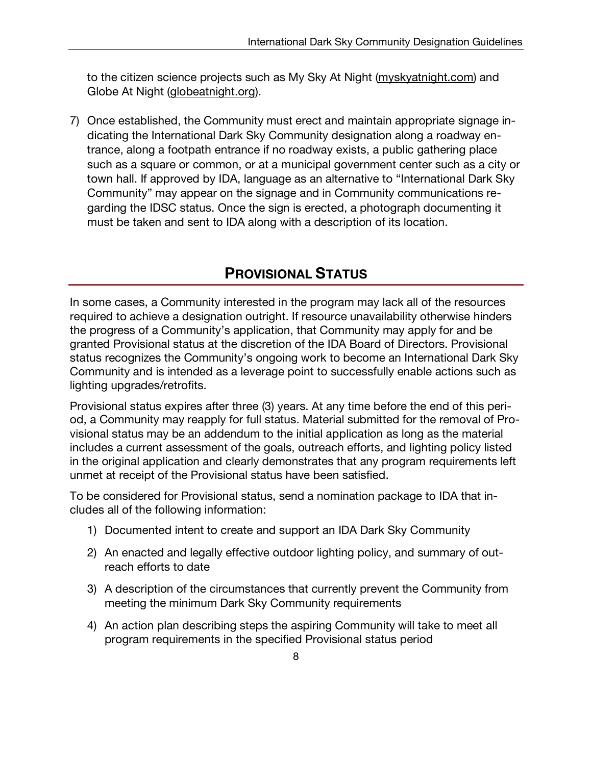to the citizen science projects such as My Sky At Night (myskyatnight.com) and Globe At Night (globeatnight.org).

7) Once established, the Community must erect and maintain appropriate signage indicating the International Dark Sky Community designation along a roadway entrance, along a footpath entrance if no roadway exists, a public gathering place such as a square or common, or at a municipal government center such as a city or town hall. If approved by IDA, language as an alternative to "International Dark Sky Community" may appear on the signage and in Community communications regarding the IDSC status. Once the sign is erected, a photograph documenting it must be taken and sent to IDA along with a description of its location.

## **PROVISIONAL STATUS**

In some cases, a Community interested in the program may lack all of the resources required to achieve a designation outright. If resource unavailability otherwise hinders the progress of a Community's application, that Community may apply for and be granted Provisional status at the discretion of the IDA Board of Directors. Provisional status recognizes the Community's ongoing work to become an International Dark Sky Community and is intended as a leverage point to successfully enable actions such as lighting upgrades/retrofits.

Provisional status expires after three (3) years. At any time before the end of this period, a Community may reapply for full status. Material submitted for the removal of Provisional status may be an addendum to the initial application as long as the material includes a current assessment of the goals, outreach efforts, and lighting policy listed in the original application and clearly demonstrates that any program requirements left unmet at receipt of the Provisional status have been satisfied.

To be considered for Provisional status, send a nomination package to IDA that includes all of the following information:

- 1) Documented intent to create and support an IDA Dark Sky Community
- 2) An enacted and legally effective outdoor lighting policy, and summary of outreach efforts to date
- 3) A description of the circumstances that currently prevent the Community from meeting the minimum Dark Sky Community requirements
- 4) An action plan describing steps the aspiring Community will take to meet all program requirements in the specified Provisional status period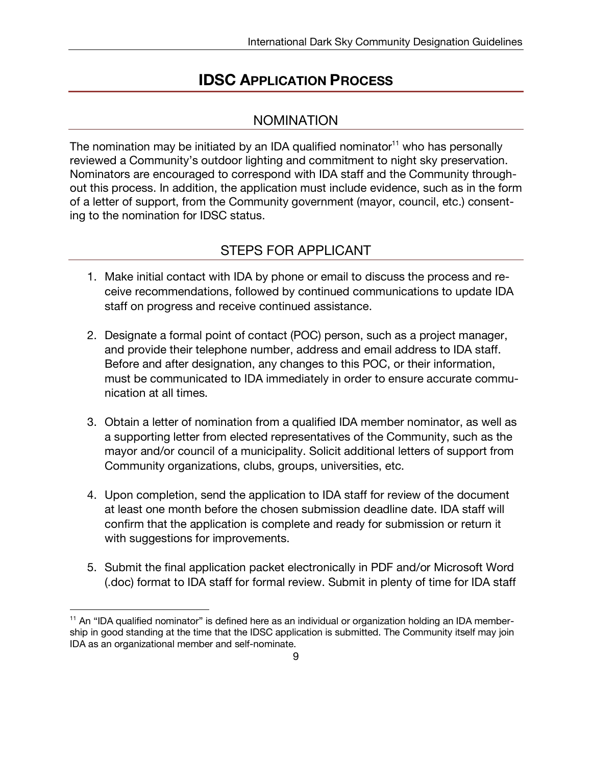#### **IDSC APPLICATION PROCESS**

#### NOMINATION

The nomination may be initiated by an IDA qualified nominator<sup>11</sup> who has personally reviewed a Community's outdoor lighting and commitment to night sky preservation. Nominators are encouraged to correspond with IDA staff and the Community throughout this process. In addition, the application must include evidence, such as in the form of a letter of support, from the Community government (mayor, council, etc.) consenting to the nomination for IDSC status.

#### STEPS FOR APPLICANT

- 1. Make initial contact with IDA by phone or email to discuss the process and receive recommendations, followed by continued communications to update IDA staff on progress and receive continued assistance.
- 2. Designate a formal point of contact (POC) person, such as a project manager, and provide their telephone number, address and email address to IDA staff. Before and after designation, any changes to this POC, or their information, must be communicated to IDA immediately in order to ensure accurate communication at all times.
- 3. Obtain a letter of nomination from a qualified IDA member nominator, as well as a supporting letter from elected representatives of the Community, such as the mayor and/or council of a municipality. Solicit additional letters of support from Community organizations, clubs, groups, universities, etc.
- 4. Upon completion, send the application to IDA staff for review of the document at least one month before the chosen submission deadline date. IDA staff will confirm that the application is complete and ready for submission or return it with suggestions for improvements.
- 5. Submit the final application packet electronically in PDF and/or Microsoft Word (.doc) format to IDA staff for formal review. Submit in plenty of time for IDA staff

 $\overline{a}$ 

<sup>&</sup>lt;sup>11</sup> An "IDA qualified nominator" is defined here as an individual or organization holding an IDA membership in good standing at the time that the IDSC application is submitted. The Community itself may join IDA as an organizational member and self-nominate.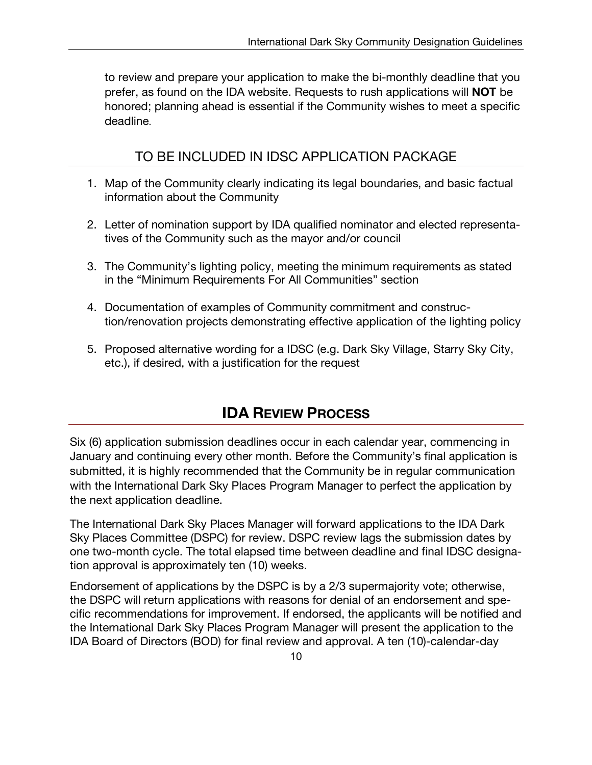to review and prepare your application to make the bi-monthly deadline that you prefer, as found on the IDA website. Requests to rush applications will **NOT** be honored; planning ahead is essential if the Community wishes to meet a specific deadline.

#### TO BE INCLUDED IN IDSC APPLICATION PACKAGE

- 1. Map of the Community clearly indicating its legal boundaries, and basic factual information about the Community
- 2. Letter of nomination support by IDA qualified nominator and elected representatives of the Community such as the mayor and/or council
- 3. The Community's lighting policy, meeting the minimum requirements as stated in the "Minimum Requirements For All Communities" section
- 4. Documentation of examples of Community commitment and construction/renovation projects demonstrating effective application of the lighting policy
- 5. Proposed alternative wording for a IDSC (e.g. Dark Sky Village, Starry Sky City, etc.), if desired, with a justification for the request

### **IDA REVIEW PROCESS**

Six (6) application submission deadlines occur in each calendar year, commencing in January and continuing every other month. Before the Community's final application is submitted, it is highly recommended that the Community be in regular communication with the International Dark Sky Places Program Manager to perfect the application by the next application deadline.

The International Dark Sky Places Manager will forward applications to the IDA Dark Sky Places Committee (DSPC) for review. DSPC review lags the submission dates by one two-month cycle. The total elapsed time between deadline and final IDSC designation approval is approximately ten (10) weeks.

Endorsement of applications by the DSPC is by a 2/3 supermajority vote; otherwise, the DSPC will return applications with reasons for denial of an endorsement and specific recommendations for improvement. If endorsed, the applicants will be notified and the International Dark Sky Places Program Manager will present the application to the IDA Board of Directors (BOD) for final review and approval. A ten (10)-calendar-day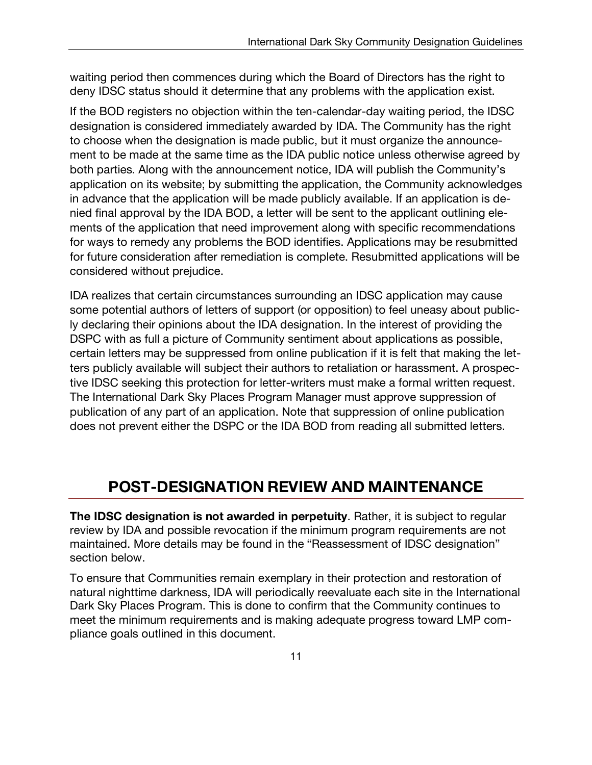waiting period then commences during which the Board of Directors has the right to deny IDSC status should it determine that any problems with the application exist.

If the BOD registers no objection within the ten-calendar-day waiting period, the IDSC designation is considered immediately awarded by IDA. The Community has the right to choose when the designation is made public, but it must organize the announcement to be made at the same time as the IDA public notice unless otherwise agreed by both parties. Along with the announcement notice, IDA will publish the Community's application on its website; by submitting the application, the Community acknowledges in advance that the application will be made publicly available. If an application is denied final approval by the IDA BOD, a letter will be sent to the applicant outlining elements of the application that need improvement along with specific recommendations for ways to remedy any problems the BOD identifies. Applications may be resubmitted for future consideration after remediation is complete. Resubmitted applications will be considered without prejudice.

IDA realizes that certain circumstances surrounding an IDSC application may cause some potential authors of letters of support (or opposition) to feel uneasy about publicly declaring their opinions about the IDA designation. In the interest of providing the DSPC with as full a picture of Community sentiment about applications as possible, certain letters may be suppressed from online publication if it is felt that making the letters publicly available will subject their authors to retaliation or harassment. A prospective IDSC seeking this protection for letter-writers must make a formal written request. The International Dark Sky Places Program Manager must approve suppression of publication of any part of an application. Note that suppression of online publication does not prevent either the DSPC or the IDA BOD from reading all submitted letters.

## **POST-DESIGNATION REVIEW AND MAINTENANCE**

**The IDSC designation is not awarded in perpetuity**. Rather, it is subject to regular review by IDA and possible revocation if the minimum program requirements are not maintained. More details may be found in the "Reassessment of IDSC designation" section below.

To ensure that Communities remain exemplary in their protection and restoration of natural nighttime darkness, IDA will periodically reevaluate each site in the International Dark Sky Places Program. This is done to confirm that the Community continues to meet the minimum requirements and is making adequate progress toward LMP compliance goals outlined in this document.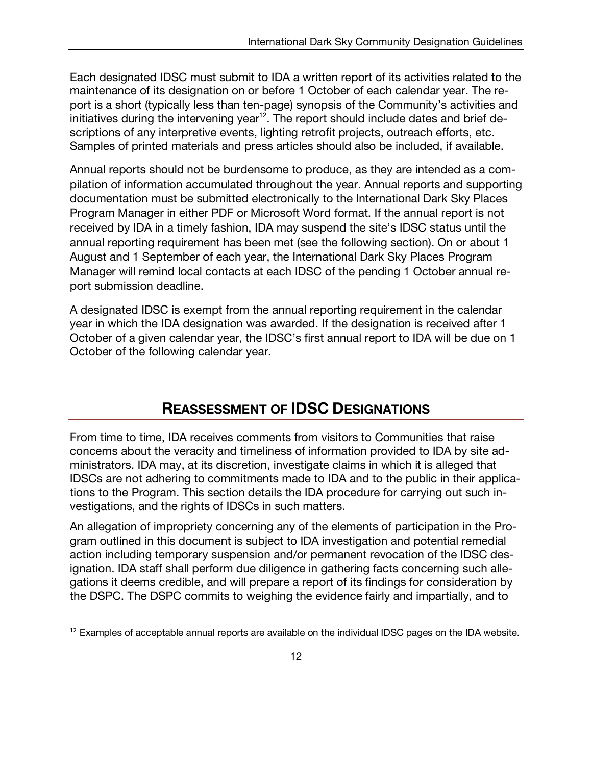Each designated IDSC must submit to IDA a written report of its activities related to the maintenance of its designation on or before 1 October of each calendar year. The report is a short (typically less than ten-page) synopsis of the Community's activities and initiatives during the intervening year<sup>12</sup>. The report should include dates and brief descriptions of any interpretive events, lighting retrofit projects, outreach efforts, etc. Samples of printed materials and press articles should also be included, if available.

Annual reports should not be burdensome to produce, as they are intended as a compilation of information accumulated throughout the year. Annual reports and supporting documentation must be submitted electronically to the International Dark Sky Places Program Manager in either PDF or Microsoft Word format. If the annual report is not received by IDA in a timely fashion, IDA may suspend the site's IDSC status until the annual reporting requirement has been met (see the following section). On or about 1 August and 1 September of each year, the International Dark Sky Places Program Manager will remind local contacts at each IDSC of the pending 1 October annual report submission deadline.

A designated IDSC is exempt from the annual reporting requirement in the calendar year in which the IDA designation was awarded. If the designation is received after 1 October of a given calendar year, the IDSC's first annual report to IDA will be due on 1 October of the following calendar year.

#### **REASSESSMENT OF IDSC DESIGNATIONS**

From time to time, IDA receives comments from visitors to Communities that raise concerns about the veracity and timeliness of information provided to IDA by site administrators. IDA may, at its discretion, investigate claims in which it is alleged that IDSCs are not adhering to commitments made to IDA and to the public in their applications to the Program. This section details the IDA procedure for carrying out such investigations, and the rights of IDSCs in such matters.

An allegation of impropriety concerning any of the elements of participation in the Program outlined in this document is subject to IDA investigation and potential remedial action including temporary suspension and/or permanent revocation of the IDSC designation. IDA staff shall perform due diligence in gathering facts concerning such allegations it deems credible, and will prepare a report of its findings for consideration by the DSPC. The DSPC commits to weighing the evidence fairly and impartially, and to

 $12$  Examples of acceptable annual reports are available on the individual IDSC pages on the IDA website.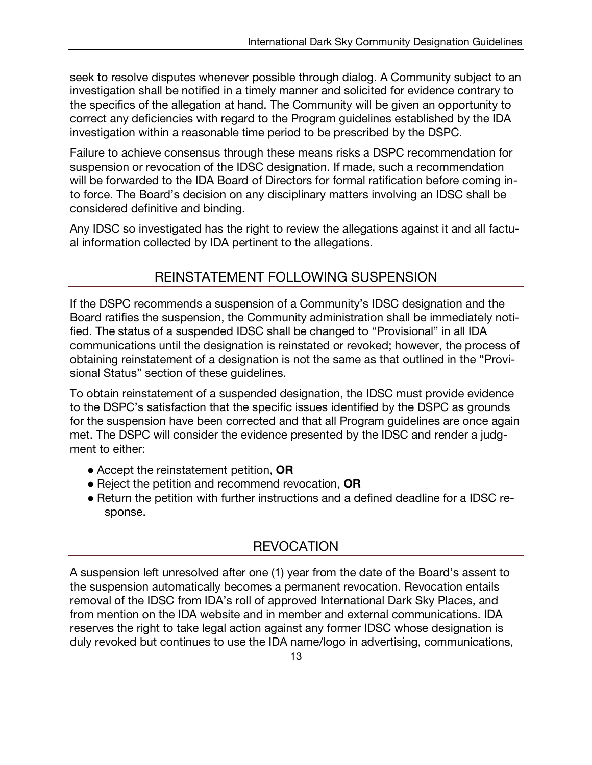seek to resolve disputes whenever possible through dialog. A Community subject to an investigation shall be notified in a timely manner and solicited for evidence contrary to the specifics of the allegation at hand. The Community will be given an opportunity to correct any deficiencies with regard to the Program guidelines established by the IDA investigation within a reasonable time period to be prescribed by the DSPC.

Failure to achieve consensus through these means risks a DSPC recommendation for suspension or revocation of the IDSC designation. If made, such a recommendation will be forwarded to the IDA Board of Directors for formal ratification before coming into force. The Board's decision on any disciplinary matters involving an IDSC shall be considered definitive and binding.

Any IDSC so investigated has the right to review the allegations against it and all factual information collected by IDA pertinent to the allegations.

#### REINSTATEMENT FOLLOWING SUSPENSION

If the DSPC recommends a suspension of a Community's IDSC designation and the Board ratifies the suspension, the Community administration shall be immediately notified. The status of a suspended IDSC shall be changed to "Provisional" in all IDA communications until the designation is reinstated or revoked; however, the process of obtaining reinstatement of a designation is not the same as that outlined in the "Provisional Status" section of these guidelines.

To obtain reinstatement of a suspended designation, the IDSC must provide evidence to the DSPC's satisfaction that the specific issues identified by the DSPC as grounds for the suspension have been corrected and that all Program guidelines are once again met. The DSPC will consider the evidence presented by the IDSC and render a judgment to either:

- Accept the reinstatement petition, **OR**
- Reject the petition and recommend revocation, **OR**
- Return the petition with further instructions and a defined deadline for a IDSC response.

#### **REVOCATION**

A suspension left unresolved after one (1) year from the date of the Board's assent to the suspension automatically becomes a permanent revocation. Revocation entails removal of the IDSC from IDA's roll of approved International Dark Sky Places, and from mention on the IDA website and in member and external communications. IDA reserves the right to take legal action against any former IDSC whose designation is duly revoked but continues to use the IDA name/logo in advertising, communications,